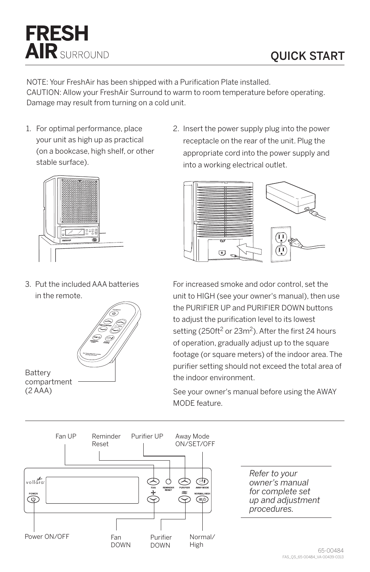

NOTE: Your FreshAir has been shipped with a Purification Plate installed. CAUTION: Allow your FreshAir Surround to warm to room temperature before operating. Damage may result from turning on a cold unit.

1. For optimal performance, place your unit as high up as practical (on a bookcase, high shelf, or other stable surface).

**FRESH** 

**AIR** SURROUND

2. Insert the power supply plug into the power receptacle on the rear of the unit. Plug the appropriate cord into the power supply and into a working electrical outlet.



3. Put the included AAA batteries in the remote.





For increased smoke and odor control, set the unit to HIGH (see your owner's manual), then use the PURIFIER UP and PURIFIER DOWN buttons to adjust the purification level to its lowest setting (250ft<sup>2</sup> or 23m<sup>2</sup>). After the first 24 hours of operation, gradually adjust up to the square footage (or square meters) of the indoor area. The purifier setting should not exceed the total area of the indoor environment.

See your owner's manual before using the AWAY MODE feature.



*for complete set up and adjustment procedures.*